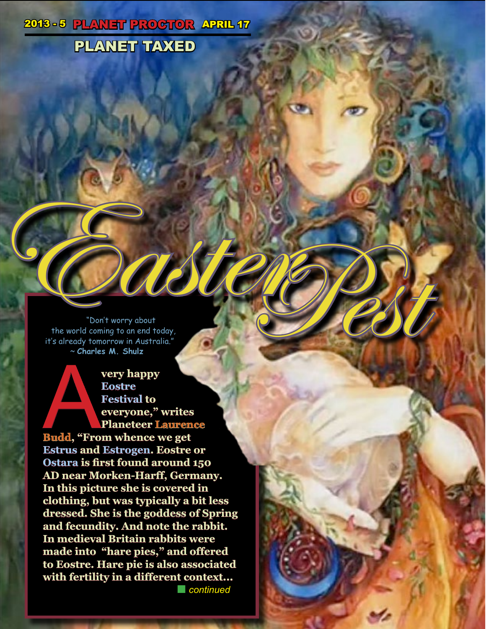## 2013 - 5 PLANET PROGTOR APRIL 17

# PLANET TAXED

"Don't worry about the world coming to an end today, it's already tomorrow in Australia." ~ **Charles M. Shulz** Ton't worry about

**very happy<br>
Eostre<br>
Festival to<br>
Pestival to<br>
Planeteer Lauren<br>
Budd, "From whence we get<br>
Fetwe and Estragen Festival Eostre Festival to everyone," writes Planeteer Laurence** 

**Estrus and Estrogen. Eostre or Ostara is first found around 150 AD near Morken-Harff, Germany. In this picture she is covered in clothing, but was typically a bit less dressed. She is the goddess of Spring and fecundity. And note the rabbit. In medieval Britain rabbits were made into "hare pies," and offered to Eostre. Hare pie is also associated with fertility in a different context... n** *n**continued*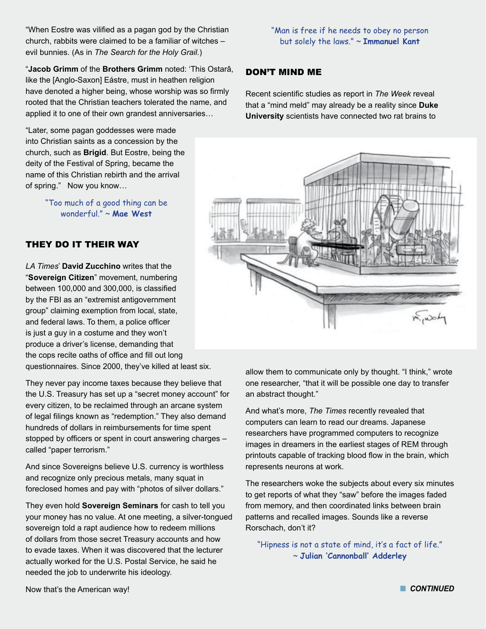"When Eostre was vilified as a pagan god by the Christian church, rabbits were claimed to be a familiar of witches – evil bunnies. (As in *The Search for the Holy Grail.*)

"**Jacob Grimm** of the **Brothers Grimm** noted: 'This Ostarâ, like the [Anglo-Saxon] Eástre, must in heathen religion have denoted a higher being, whose worship was so firmly rooted that the Christian teachers tolerated the name, and applied it to one of their own grandest anniversaries…

"Later, some pagan goddesses were made into Christian saints as a concession by the church, such as **Brigid**. But Eostre, being the deity of the Festival of Spring, became the name of this Christian rebirth and the arrival of spring." Now you know…

> "Too much of a good thing can be wonderful." ~ **Mae West**

#### THEY DO IT THEIR WAY

*LA Times*' **David Zucchino** writes that the "**Sovereign Citizen**" movement, numbering between 100,000 and 300,000, is classified by the FBI as an "extremist antigovernment group" claiming exemption from local, state, and federal laws. To them, a police officer is just a guy in a costume and they won't produce a driver's license, demanding that the cops recite oaths of office and fill out long questionnaires. Since 2000, they've killed at least six.

They never pay income taxes because they believe that the U.S. Treasury has set up a "secret money account" for every citizen, to be reclaimed through an arcane system of legal filings known as "redemption." They also demand hundreds of dollars in reimbursements for time spent stopped by officers or spent in court answering charges – called "paper terrorism."

And since Sovereigns believe U.S. currency is worthless and recognize only precious metals, many squat in foreclosed homes and pay with "photos of silver dollars."

They even hold **Sovereign Seminars** for cash to tell you your money has no value. At one meeting, a silver-tongued sovereign told a rapt audience how to redeem millions of dollars from those secret Treasury accounts and how to evade taxes. When it was discovered that the lecturer actually worked for the U.S. Postal Service, he said he needed the job to underwrite his ideology.

"Man is free if he needs to obey no person but solely the laws." ~ **Immanuel Kant**

#### DON'T MIND ME

Recent scientific studies as report in *The Week* reveal that a "mind meld" may already be a reality since **Duke University** scientists have connected two rat brains to



allow them to communicate only by thought. "I think," wrote one researcher, "that it will be possible one day to transfer an abstract thought."

And what's more, *The Times* recently revealed that computers can learn to read our dreams. Japanese researchers have programmed computers to recognize images in dreamers in the earliest stages of REM through printouts capable of tracking blood flow in the brain, which represents neurons at work.

The researchers woke the subjects about every six minutes to get reports of what they "saw" before the images faded from memory, and then coordinated links between brain patterns and recalled images. Sounds like a reverse Rorschach, don't it?

"Hipness is not a state of mind, it's a fact of life." ~ **Julian 'Cannonball' Adderley**

Now that's the American way!

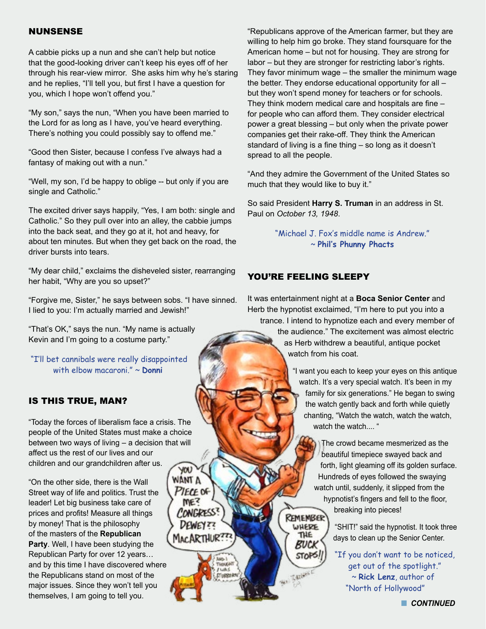#### NUNSENSE

A cabbie picks up a nun and she can't help but notice that the good-looking driver can't keep his eyes off of her through his rear-view mirror. She asks him why he's staring and he replies, "I'll tell you, but first I have a question for you, which I hope won't offend you."

"My son," says the nun, "When you have been married to the Lord for as long as I have, you've heard everything. There's nothing you could possibly say to offend me."

"Good then Sister, because I confess I've always had a fantasy of making out with a nun."

"Well, my son, I'd be happy to oblige -- but only if you are single and Catholic."

The excited driver says happily, "Yes, I am both: single and Catholic." So they pull over into an alley, the cabbie jumps into the back seat, and they go at it, hot and heavy, for about ten minutes. But when they get back on the road, the driver bursts into tears.

"My dear child," exclaims the disheveled sister, rearranging her habit, "Why are you so upset?"

"Forgive me, Sister," he says between sobs. "I have sinned. I lied to you: I'm actually married and Jewish!"

"That's OK," says the nun. "My name is actually Kevin and I'm going to a costume party."

"I'll bet cannibals were really disappointed with elbow macaroni." ~ **Donni**

#### IS THIS TRUE, MAN?

"Today the forces of liberalism face a crisis. The people of the United States must make a choice between two ways of living – a decision that will affect us the rest of our lives and our children and our grandchildren after us. **YOU** 

> WANT A PIECE OF

> > Astr. 1 Tiepucart **FLACE CTURRERA**

"On the other side, there is the Wall Street way of life and politics. Trust the leader! Let big business take care of prices and profits! Measure all things by money! That is the philosophy of the masters of the **Republican Party**. Well, I have been studying the Republican Party for over 12 years… and by this time I have discovered where the Republicans stand on most of the major issues. Since they won't tell you themselves, I am going to tell you.

"Republicans approve of the American farmer, but they are willing to help him go broke. They stand foursquare for the American home – but not for housing. They are strong for labor – but they are stronger for restricting labor's rights. They favor minimum wage – the smaller the minimum wage the better. They endorse educational opportunity for all – but they won't spend money for teachers or for schools. They think modern medical care and hospitals are fine – for people who can afford them. They consider electrical power a great blessing – but only when the private power companies get their rake-off. They think the American standard of living is a fine thing – so long as it doesn't spread to all the people.

"And they admire the Government of the United States so much that they would like to buy it."

So said President **Harry S. Truman** in an address in St. Paul on *October 13, 1948*.

> "Michael J. Fox's middle name is Andrew." ~ **Phil's Phunny Phacts**

#### YOU'RE FEELING SLEEPY

**WHERE** THE Buck **STOP** 

It was entertainment night at a **Boca Senior Center** and Herb the hypnotist exclaimed, "I'm here to put you into a trance. I intend to hypnotize each and every member of

the audience." The excitement was almost electric as Herb withdrew a beautiful, antique pocket watch from his coat.

"I want you each to keep your eyes on this antique watch. It's a very special watch. It's been in my family for six generations." He began to swing the watch gently back and forth while quietly chanting, "Watch the watch, watch the watch, watch the watch.... "

The crowd became mesmerized as the beautiful timepiece swayed back and forth, light gleaming off its golden surface. Hundreds of eyes followed the swaying watch until, suddenly, it slipped from the hypnotist's fingers and fell to the floor, breaking into pieces! **REMEMBER** 

> "SHIT!" said the hypnotist. It took three days to clean up the Senior Center.

"If you don't want to be noticed, get out of the spotlight." ~ **Rick Lenz**, author of "North of Hollywood"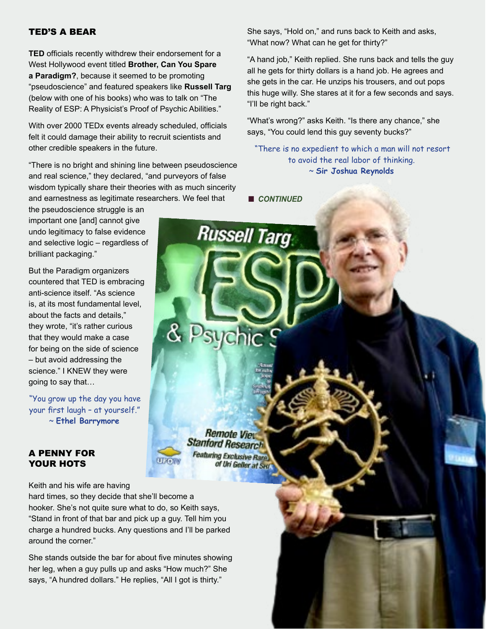#### TED'S A BEAR

**TED** officials recently withdrew their endorsement for a West Hollywood event titled **Brother, Can You Spare a Paradigm?**, because it seemed to be promoting "pseudoscience" and featured speakers like **Russell Targ** (below with one of his books) who was to talk on "The Reality of ESP: A Physicist's Proof of Psychic Abilities."

With over 2000 TEDx events already scheduled, officials felt it could damage their ability to recruit scientists and other credible speakers in the future.

"There is no bright and shining line between pseudoscience and real science," they declared, "and purveyors of false wisdom typically share their theories with as much sincerity and earnestness as legitimate researchers. We feel that

the pseudoscience struggle is an important one [and] cannot give undo legitimacy to false evidence and selective logic – regardless of brilliant packaging."

But the Paradigm organizers countered that TED is embracing anti-science itself. "As science is, at its most fundamental level, about the facts and details," they wrote, "it's rather curious that they would make a case for being on the side of science – but avoid addressing the science." I KNEW they were going to say that…

"You grow up the day you have your first laugh – at yourself." ~ **Ethel Barrymore**

#### A PENNY FOR YOUR HOTS

Keith and his wife are having

hard times, so they decide that she'll become a hooker. She's not quite sure what to do, so Keith says, "Stand in front of that bar and pick up a guy. Tell him you charge a hundred bucks. Any questions and I'll be parked around the corner."

She stands outside the bar for about five minutes showing her leg, when a guy pulls up and asks "How much?" She says, "A hundred dollars." He replies, "All I got is thirty."

She says, "Hold on," and runs back to Keith and asks, "What now? What can he get for thirty?"

"A hand job," Keith replied. She runs back and tells the guy all he gets for thirty dollars is a hand job. He agrees and she gets in the car. He unzips his trousers, and out pops this huge willy. She stares at it for a few seconds and says. "I'll be right back."

"What's wrong?" asks Keith. "Is there any chance," she says, "You could lend this guy seventy bucks?"

"There is no expedient to which a man will not resort to avoid the real labor of thinking. ~ **Sir Joshua Reynolds**

**n** *CONTINUED* 

**Russell Targ** 

**Remote Vie Stanford Research Featuring Exclusive Rare** of Uri Geller at Seu